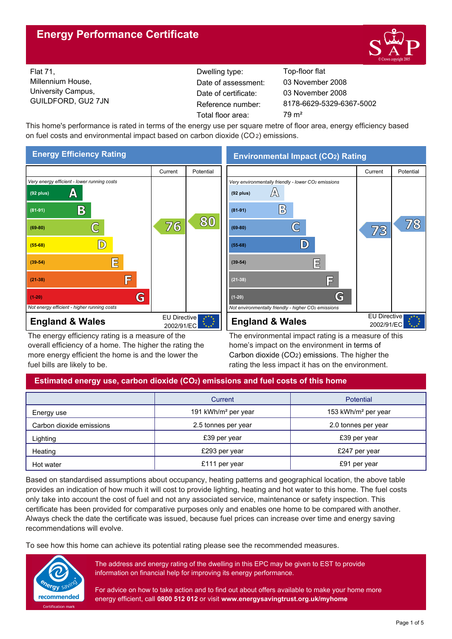# **Energy Performance Certificate**



Flat 71, Millennium House, University Campus, GUILDFORD, GU2 7JN Reference number:

Dwelling type: Top-floor flat Date of certificate: Total floor area: 79 m<sup>2</sup> Date of assessment:

8178-6629-5329-6367-5002 03 November 2008 03 November 2008

This home's performance is rated in terms of the energy use per square metre of floor area, energy efficiency based on fuel costs and environmental impact based on carbon dioxide (CO2) emissions.



The energy efficiency rating is a measure of the overall efficiency of a home. The higher the rating the more energy efficient the home is and the lower the fuel bills are likely to be.

**Environmental Impact (CO2) Rating**



The environmental impact rating is a measure of this home's impact on the environment in terms of Carbon dioxide (CO2) emissions. The higher the rating the less impact it has on the environment.

# **Estimated energy use, carbon dioxide (CO2) emissions and fuel costs of this home**

|                          | Current                         | <b>Potential</b>                |  |
|--------------------------|---------------------------------|---------------------------------|--|
| Energy use               | 191 kWh/m <sup>2</sup> per year | 153 kWh/m <sup>2</sup> per year |  |
| Carbon dioxide emissions | 2.5 tonnes per year             | 2.0 tonnes per year             |  |
| Lighting                 | £39 per year                    | £39 per year                    |  |
| Heating                  | £293 per year                   | £247 per year                   |  |
| Hot water                | £111 per year                   | £91 per year                    |  |

Based on standardised assumptions about occupancy, heating patterns and geographical location, the above table provides an indication of how much it will cost to provide lighting, heating and hot water to this home. The fuel costs only take into account the cost of fuel and not any associated service, maintenance or safety inspection. This certificate has been provided for comparative purposes only and enables one home to be compared with another. Always check the date the certificate was issued, because fuel prices can increase over time and energy saving recommendations will evolve.

To see how this home can achieve its potential rating please see the recommended measures.



The address and energy rating of the dwelling in this EPC may be given to EST to provide information on financial help for improving its energy performance.

For advice on how to take action and to find out about offers available to make your home more energy efficient, call **0800 512 012** or visit **www.energysavingtrust.org.uk/myhome**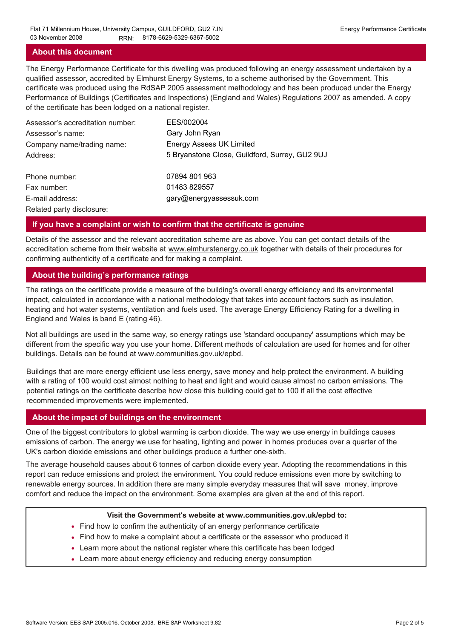## **About this document**

The Energy Performance Certificate for this dwelling was produced following an energy assessment undertaken by a qualified assessor, accredited by Elmhurst Energy Systems, to a scheme authorised by the Government. This certificate was produced using the RdSAP 2005 assessment methodology and has been produced under the Energy Performance of Buildings (Certificates and Inspections) (England and Wales) Regulations 2007 as amended. A copy of the certificate has been lodged on a national register.

| Assessor's accreditation number: | EES/002004                                     |
|----------------------------------|------------------------------------------------|
| Assessor's name:                 | Gary John Ryan                                 |
| Company name/trading name:       | <b>Energy Assess UK Limited</b>                |
| Address:                         | 5 Bryanstone Close, Guildford, Surrey, GU2 9UJ |
| Phone number:                    | 07894 801 963                                  |
| Fax number:                      | 01483 829557                                   |
| E-mail address:                  | gary@energyassessuk.com                        |
| Related party disclosure:        |                                                |

## **If you have a complaint or wish to confirm that the certificate is genuine**

Details of the assessor and the relevant accreditation scheme are as above. You can get contact details of the accreditation scheme from their website at www.elmhurstenergy.co.uk together with details of their procedures for confirming authenticity of a certificate and for making a complaint.

## **About the building's performance ratings**

The ratings on the certificate provide a measure of the building's overall energy efficiency and its environmental impact, calculated in accordance with a national methodology that takes into account factors such as insulation, heating and hot water systems, ventilation and fuels used. The average Energy Efficiency Rating for a dwelling in England and Wales is band E (rating 46).

Not all buildings are used in the same way, so energy ratings use 'standard occupancy' assumptions which may be different from the specific way you use your home. Different methods of calculation are used for homes and for other buildings. Details can be found at www.communities.gov.uk/epbd.

Buildings that are more energy efficient use less energy, save money and help protect the environment. A building with a rating of 100 would cost almost nothing to heat and light and would cause almost no carbon emissions. The potential ratings on the certificate describe how close this building could get to 100 if all the cost effective recommended improvements were implemented.

## **About the impact of buildings on the environment**

One of the biggest contributors to global warming is carbon dioxide. The way we use energy in buildings causes emissions of carbon. The energy we use for heating, lighting and power in homes produces over a quarter of the UK's carbon dioxide emissions and other buildings produce a further one-sixth.

The average household causes about 6 tonnes of carbon dioxide every year. Adopting the recommendations in this report can reduce emissions and protect the environment. You could reduce emissions even more by switching to renewable energy sources. In addition there are many simple everyday measures that will save money, improve comfort and reduce the impact on the environment. Some examples are given at the end of this report.

#### **Visit the Government's website at www.communities.gov.uk/epbd to:**

- Find how to confirm the authenticity of an energy performance certificate
- Find how to make a complaint about a certificate or the assessor who produced it •
- Learn more about the national register where this certificate has been lodged •
- Learn more about energy efficiency and reducing energy consumption •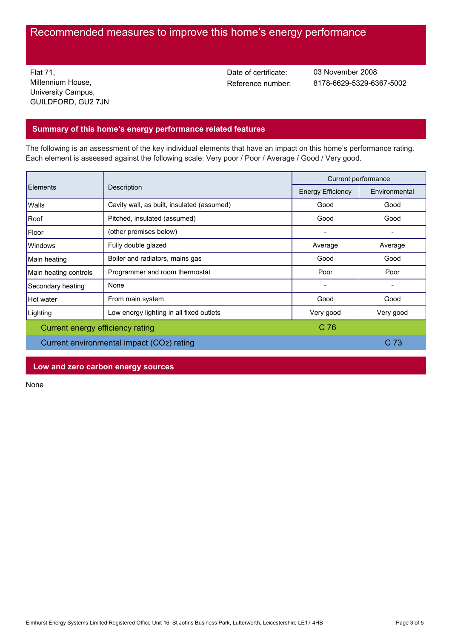# Recommended measures to improve this home's energy performance

Flat 71, Millennium House, University Campus, GUILDFORD, GU2 7JN Date of certificate:

Reference number: 8178-6629-5329-6367-5002 03 November 2008

## **Summary of this home's energy performance related features**

The following is an assessment of the key individual elements that have an impact on this home's performance rating. Each element is assessed against the following scale: Very poor / Poor / Average / Good / Very good.

| Elements                                  | Description                                | Current performance      |               |
|-------------------------------------------|--------------------------------------------|--------------------------|---------------|
|                                           |                                            | <b>Energy Efficiency</b> | Environmental |
| Walls                                     | Cavity wall, as built, insulated (assumed) | Good                     | Good          |
| Roof                                      | Pitched, insulated (assumed)               | Good                     | Good          |
| Floor                                     | (other premises below)                     |                          |               |
| <b>Windows</b>                            | Fully double glazed                        | Average                  | Average       |
| Main heating                              | Boiler and radiators, mains gas            | Good                     | Good          |
| Main heating controls                     | Programmer and room thermostat             | Poor                     | Poor          |
| Secondary heating                         | None                                       |                          |               |
| Hot water                                 | From main system                           | Good                     | Good          |
| Lighting                                  | Low energy lighting in all fixed outlets   | Very good                | Very good     |
| Current energy efficiency rating          |                                            | C <sub>76</sub>          |               |
| Current environmental impact (CO2) rating |                                            |                          | C 73          |

## **Low and zero carbon energy sources**

None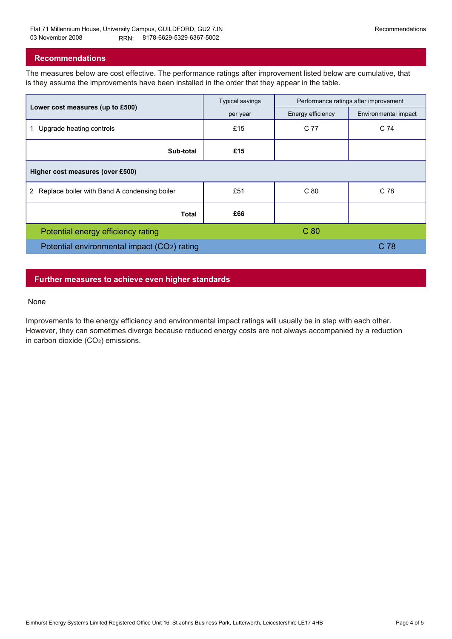## **Recommendations**

The measures below are cost effective. The performance ratings after improvement listed below are cumulative, that is they assume the improvements have been installed in the order that they appear in the table.

|                                                | <b>Typical savings</b> | Performance ratings after improvement |                      |  |  |  |
|------------------------------------------------|------------------------|---------------------------------------|----------------------|--|--|--|
| Lower cost measures (up to £500)               | per year               | Energy efficiency                     | Environmental impact |  |  |  |
| Upgrade heating controls                       | £15                    | C 77                                  | C 74                 |  |  |  |
| Sub-total                                      | £15                    |                                       |                      |  |  |  |
| Higher cost measures (over £500)               |                        |                                       |                      |  |  |  |
| 2 Replace boiler with Band A condensing boiler | £51                    | C80                                   | C 78                 |  |  |  |
| Total                                          | £66                    |                                       |                      |  |  |  |
| Potential energy efficiency rating             |                        | C <sub>80</sub>                       |                      |  |  |  |
| Potential environmental impact (CO2) rating    |                        |                                       | C 78                 |  |  |  |

## **Further measures to achieve even higher standards**

#### None

Improvements to the energy efficiency and environmental impact ratings will usually be in step with each other. However, they can sometimes diverge because reduced energy costs are not always accompanied by a reduction in carbon dioxide (CO2) emissions.